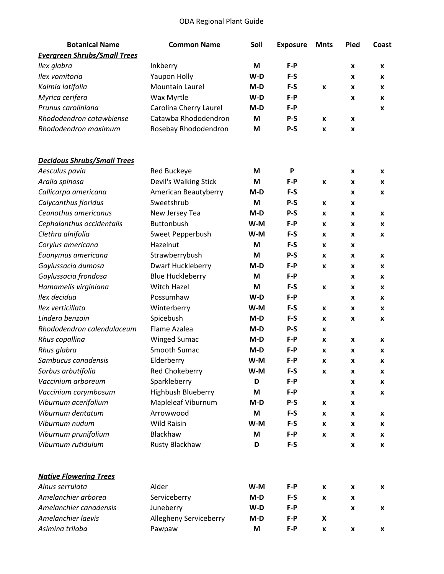## ODA Regional Plant Guide

| <b>Botanical Name</b>               | <b>Common Name</b>      | Soil  | <b>Exposure</b> | <b>Mnts</b>        | Pied | Coast |
|-------------------------------------|-------------------------|-------|-----------------|--------------------|------|-------|
| <b>Evergreen Shrubs/Small Trees</b> |                         |       |                 |                    |      |       |
| Ilex glabra                         | Inkberry                | M     | $F-P$           |                    | X    | X     |
| Ilex vomitoria                      | Yaupon Holly            | W-D   | $F-S$           |                    | x    | X     |
| Kalmia latifolia                    | Mountain Laurel         | $M-D$ | $F-S$           | $\pmb{\mathsf{x}}$ | X    | X     |
| Myrica cerifera                     | Wax Myrtle              | $W-D$ | $F-P$           |                    | x    | X     |
| Prunus caroliniana                  | Carolina Cherry Laurel  | M-D   | $F-P$           |                    |      | X     |
| Rhododendron catawbiense            | Catawba Rhododendron    | M     | $P-S$           | X                  | X    |       |
| Rhododendron maximum                | Rosebay Rhododendron    | M     | $P-S$           | X                  | X    |       |
| <b>Decidous Shrubs/Small Trees</b>  |                         |       |                 |                    |      |       |
| Aesculus pavia                      | Red Buckeye             | M     | P               |                    | X    | X     |
| Aralia spinosa                      | Devil's Walking Stick   | M     | $F - P$         | X                  | X    | X     |
| Callicarpa americana                | American Beautyberry    | $M-D$ | $F-S$           |                    | x    | X     |
| Calycanthus floridus                | Sweetshrub              | M     | $P-S$           | X                  | x    |       |
| Ceanothus americanus                | New Jersey Tea          | $M-D$ | $P-S$           | X                  | x    | X     |
| Cephalanthus occidentalis           | <b>Buttonbush</b>       | $W-M$ | $F-P$           | x                  | x    | X     |
| Clethra alnifolia                   | Sweet Pepperbush        | W-M   | F-S             | X                  | X    | X     |
| Corylus americana                   | Hazelnut                | M     | F-S             | X                  | x    |       |
| Euonymus americana                  | Strawberrybush          | M     | $P-S$           | X                  | x    | X     |
| Gaylussacia dumosa                  | Dwarf Huckleberry       | $M-D$ | $F-P$           | X                  | X    | X     |
| Gaylussacia frondosa                | <b>Blue Huckleberry</b> | M     | $F-P$           |                    | x    | X     |
| Hamamelis virginiana                | Witch Hazel             | M     | $F-S$           | $\pmb{\mathsf{x}}$ | x    | X     |
| Ilex decidua                        | Possumhaw               | $W-D$ | $F-P$           |                    | x    | X     |
| Ilex verticillata                   | Winterberry             | W-M   | F-S             | X                  | X    | X     |
| Lindera benzoin                     | Spicebush               | $M-D$ | F-S             | X                  | X    | X     |
| Rhododendron calendulaceum          | Flame Azalea            | M-D   | $P-S$           | x                  |      |       |
| Rhus copallina                      | <b>Winged Sumac</b>     | M-D   | $F - P$         | X                  | X    | x     |
| Rhus glabra                         | Smooth Sumac            | $M-D$ | $F-P$           | X                  | x    | X     |
| Sambucus canadensis                 | Elderberry              | W-M   | $F-P$           | x                  | x    | x     |
| Sorbus arbutifolia                  | Red Chokeberry          | W-M   | F-S             | $\pmb{\mathsf{x}}$ | X    | X     |
| Vaccinium arboreum                  | Sparkleberry            | D     | $F-P$           |                    | x    | X     |
| Vaccinium corymbosum                | Highbush Blueberry      | M     | $F-P$           |                    | x    | X     |
| Viburnum acerifolium                | Mapleleaf Viburnum      | $M-D$ | $P-S$           | X                  | x    |       |
| Viburnum dentatum                   | Arrowwood               | M     | F-S             | X                  | x    | X     |
| Viburnum nudum                      | <b>Wild Raisin</b>      | W-M   | $F-S$           | x                  | x    | x     |
| Viburnum prunifolium                | Blackhaw                | M     | $F-P$           | X                  | X    | X     |
| Viburnum rutidulum                  | Rusty Blackhaw          | D     | $F-S$           |                    | X    | X     |
| <b>Native Flowering Trees</b>       |                         |       |                 |                    |      |       |
| Alnus serrulata                     | Alder                   | W-M   | F-P             | X                  | X    | X     |
| Amelanchier arborea                 | Serviceberry            | $M-D$ | $F-S$           | X                  | X    |       |
| Amelanchier canadensis              | Juneberry               | $W-D$ | $F-P$           |                    | X    | X     |
| Amelanchier laevis                  | Allegheny Serviceberry  | $M-D$ | $F-P$           | X                  |      |       |
| Asimina triloba                     | Pawpaw                  | M     | F-P             | X                  | X    | X     |